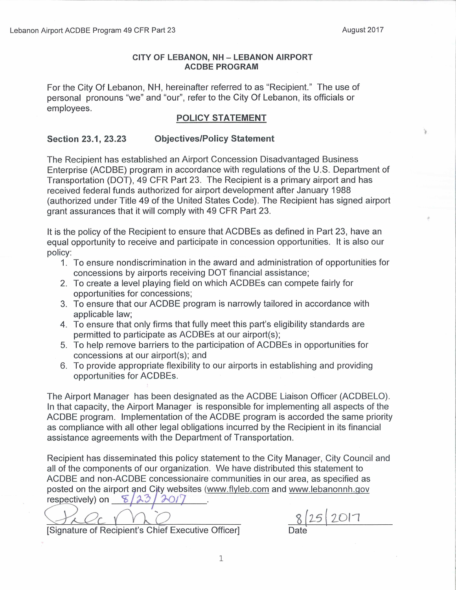#### CITY OF LEBANON, NH - LEBANON AIRPORT **ACDBE PROGRAM**

For the City Of Lebanon, NH, hereinafter referred to as "Recipient." The use of personal pronouns "we" and "our", refer to the City Of Lebanon, its officials or employees.

### POLICY STATEMENT

#### Section 23.1, 23.23 Objectives/Policy Statement

The Recipient has established an Airport Concession Disadvantaged Business Enterprise (ACDBE) program in accordance with regulations of the U.S. Department of Transportation (DOT), 49 CFR Part 23. The Recipient is a primary airport and has received federal funds authorized for airport development after January 1988 (authorized under Title 49 of the United States Code). The Recipient has signed airport grant assurances that it will comply with 49 CFR Part 23.

It is the policy of the Recipient to ensure that ACDBEs as defined in Part 23, have an equal opportunity to receive and participate in concession opportunities. It is also our policy:

- 1. To ensure nondiscrimination in the award and administration of opportunities for concessions by airports receiving DOT financial assistance;
- 2. To create a level playing field on which ACDBEs can compete fairly for opportunities for concessions;
- 3. To ensure that our ACDBE program is narrowly tailored in accordance with applicable law;
- 4. To ensure that only firms that fully meet this part's eligibility standards are permitted to participate as ACDBEs at our airport(s);
- 5. To help remove barriers to the participation of ACDBEs in opportunities for concessions at our airport(s); and
- 6. To provide appropriate flexibility to our airports in establishing and providing opportunities for ACDBEs.

The Airport Manager has been designated as the ACDBE Liaison Officer (ACDBELO). In that capacity, the Airport Manager is responsible for implementing all aspects of the ACDBE program. Implementation of the ACDBE program is accorded the same priority as compliance with all other legal obligations incurred by the Recipient in its financial assistance agreements with the Department of Transportation.

Recipient has disseminated this policy statement to the City Manager, City Council and all of the components of our organization. We have distributed this statement to ACDBE and non-ACDBE concessionaire communities in our area, as specified as posted on the airport and City websites (www.flyleb.com and www.lebanonnh.gov respectively) on  $8/23/201$ 

respectively) on 8/23/2017<br>
CC Contract Position is Chief Executive Officer Posts Respectively of Bosinian is Chief Executive Officer Posts Respectively of the Posts Respectively of the Posts Respectively of the Posts Resp

[Signature of Recipient's Chief Executive Officer]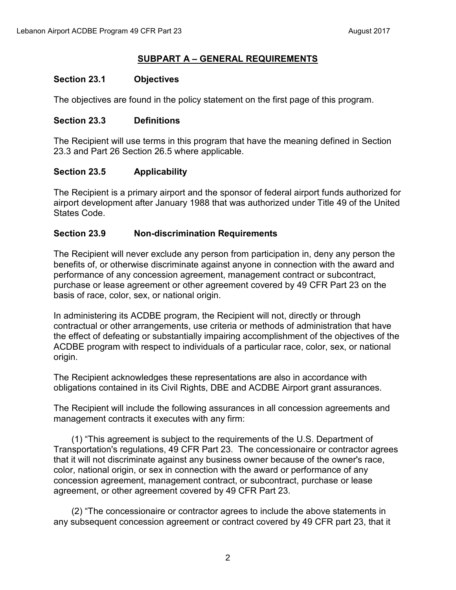#### **SUBPART A – GENERAL REQUIREMENTS**

#### **Section 23.1 Objectives**

The objectives are found in the policy statement on the first page of this program.

#### **Section 23.3 Definitions**

The Recipient will use terms in this program that have the meaning defined in Section 23.3 and Part 26 Section 26.5 where applicable.

## **Section 23.5 Applicability**

The Recipient is a primary airport and the sponsor of federal airport funds authorized for airport development after January 1988 that was authorized under Title 49 of the United States Code.

### **Section 23.9 Non-discrimination Requirements**

The Recipient will never exclude any person from participation in, deny any person the benefits of, or otherwise discriminate against anyone in connection with the award and performance of any concession agreement, management contract or subcontract, purchase or lease agreement or other agreement covered by 49 CFR Part 23 on the basis of race, color, sex, or national origin.

In administering its ACDBE program, the Recipient will not, directly or through contractual or other arrangements, use criteria or methods of administration that have the effect of defeating or substantially impairing accomplishment of the objectives of the ACDBE program with respect to individuals of a particular race, color, sex, or national origin.

The Recipient acknowledges these representations are also in accordance with obligations contained in its Civil Rights, DBE and ACDBE Airport grant assurances.

The Recipient will include the following assurances in all concession agreements and management contracts it executes with any firm:

(1) "This agreement is subject to the requirements of the U.S. Department of Transportation's regulations, 49 CFR Part 23. The concessionaire or contractor agrees that it will not discriminate against any business owner because of the owner's race, color, national origin, or sex in connection with the award or performance of any concession agreement, management contract, or subcontract, purchase or lease agreement, or other agreement covered by 49 CFR Part 23.

(2) "The concessionaire or contractor agrees to include the above statements in any subsequent concession agreement or contract covered by 49 CFR part 23, that it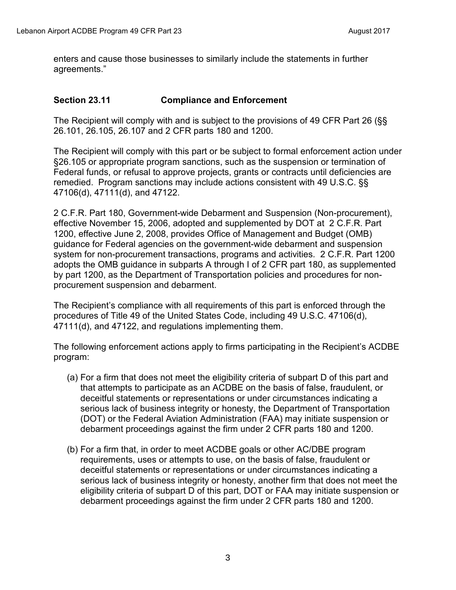enters and cause those businesses to similarly include the statements in further agreements."

#### **Section 23.11 Compliance and Enforcement**

The Recipient will comply with and is subject to the provisions of 49 CFR Part 26 (§§ 26.101, 26.105, 26.107 and 2 CFR parts 180 and 1200.

The Recipient will comply with this part or be subject to formal enforcement action under §26.105 or appropriate program sanctions, such as the suspension or termination of Federal funds, or refusal to approve projects, grants or contracts until deficiencies are remedied. Program sanctions may include actions consistent with 49 U.S.C. §§ 47106(d), 47111(d), and 47122.

2 C.F.R. Part 180, Government-wide Debarment and Suspension (Non-procurement), effective November 15, 2006, adopted and supplemented by DOT at 2 C.F.R. Part 1200, effective June 2, 2008, provides Office of Management and Budget (OMB) guidance for Federal agencies on the government-wide debarment and suspension system for non-procurement transactions, programs and activities. 2 C.F.R. Part 1200 adopts the OMB guidance in subparts A through I of 2 CFR part 180, as supplemented by part 1200, as the Department of Transportation policies and procedures for nonprocurement suspension and debarment.

The Recipient's compliance with all requirements of this part is enforced through the procedures of Title 49 of the United States Code, including 49 U.S.C. 47106(d), 47111(d), and 47122, and regulations implementing them.

The following enforcement actions apply to firms participating in the Recipient's ACDBE program:

- (a) For a firm that does not meet the eligibility criteria of subpart D of this part and that attempts to participate as an ACDBE on the basis of false, fraudulent, or deceitful statements or representations or under circumstances indicating a serious lack of business integrity or honesty, the Department of Transportation (DOT) or the Federal Aviation Administration (FAA) may initiate suspension or debarment proceedings against the firm under 2 CFR parts 180 and 1200.
- (b) For a firm that, in order to meet ACDBE goals or other AC/DBE program requirements, uses or attempts to use, on the basis of false, fraudulent or deceitful statements or representations or under circumstances indicating a serious lack of business integrity or honesty, another firm that does not meet the eligibility criteria of subpart D of this part, DOT or FAA may initiate suspension or debarment proceedings against the firm under 2 CFR parts 180 and 1200.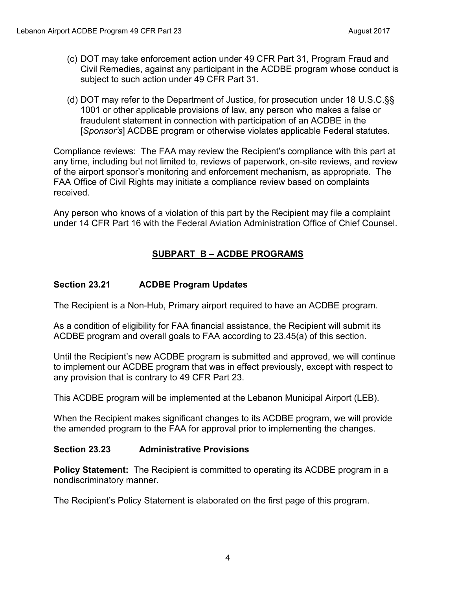- (c) DOT may take enforcement action under 49 CFR Part 31, Program Fraud and Civil Remedies, against any participant in the ACDBE program whose conduct is subject to such action under 49 CFR Part 31.
- (d) DOT may refer to the Department of Justice, for prosecution under 18 U.S.C.§§ 1001 or other applicable provisions of law, any person who makes a false or fraudulent statement in connection with participation of an ACDBE in the [*Sponsor's*] ACDBE program or otherwise violates applicable Federal statutes.

Compliance reviews: The FAA may review the Recipient's compliance with this part at any time, including but not limited to, reviews of paperwork, on-site reviews, and review of the airport sponsor's monitoring and enforcement mechanism, as appropriate. The FAA Office of Civil Rights may initiate a compliance review based on complaints received.

Any person who knows of a violation of this part by the Recipient may file a complaint under 14 CFR Part 16 with the Federal Aviation Administration Office of Chief Counsel.

## **SUBPART B – ACDBE PROGRAMS**

## **Section 23.21 ACDBE Program Updates**

The Recipient is a Non-Hub, Primary airport required to have an ACDBE program.

As a condition of eligibility for FAA financial assistance, the Recipient will submit its ACDBE program and overall goals to FAA according to 23.45(a) of this section.

Until the Recipient's new ACDBE program is submitted and approved, we will continue to implement our ACDBE program that was in effect previously, except with respect to any provision that is contrary to 49 CFR Part 23.

This ACDBE program will be implemented at the Lebanon Municipal Airport (LEB).

When the Recipient makes significant changes to its ACDBE program, we will provide the amended program to the FAA for approval prior to implementing the changes.

## **Section 23.23 Administrative Provisions**

**Policy Statement:** The Recipient is committed to operating its ACDBE program in a nondiscriminatory manner.

The Recipient's Policy Statement is elaborated on the first page of this program.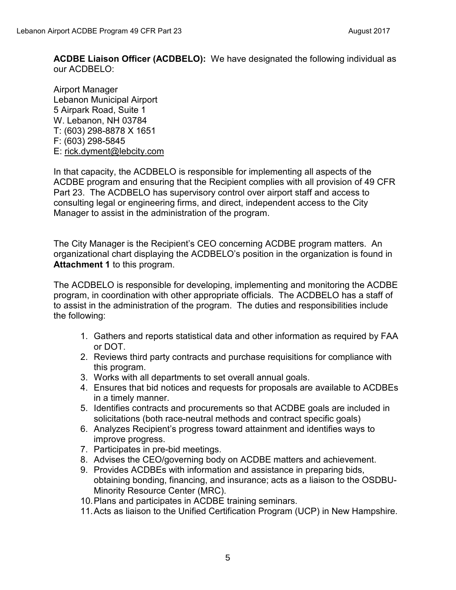**ACDBE Liaison Officer (ACDBELO):** We have designated the following individual as our ACDBELO:

Airport Manager Lebanon Municipal Airport 5 Airpark Road, Suite 1 W. Lebanon, NH 03784 T: (603) 298-8878 X 1651 F: (603) 298-5845 E: [rick.dyment@lebcity.com](mailto:rick.dyment@lebcity.com)

In that capacity, the ACDBELO is responsible for implementing all aspects of the ACDBE program and ensuring that the Recipient complies with all provision of 49 CFR Part 23. The ACDBELO has supervisory control over airport staff and access to consulting legal or engineering firms, and direct, independent access to the City Manager to assist in the administration of the program.

The City Manager is the Recipient's CEO concerning ACDBE program matters. An organizational chart displaying the ACDBELO's position in the organization is found in **Attachment 1** to this program.

The ACDBELO is responsible for developing, implementing and monitoring the ACDBE program, in coordination with other appropriate officials. The ACDBELO has a staff of to assist in the administration of the program. The duties and responsibilities include the following:

- 1. Gathers and reports statistical data and other information as required by FAA or DOT.
- 2. Reviews third party contracts and purchase requisitions for compliance with this program.
- 3. Works with all departments to set overall annual goals.
- 4. Ensures that bid notices and requests for proposals are available to ACDBEs in a timely manner.
- 5. Identifies contracts and procurements so that ACDBE goals are included in solicitations (both race-neutral methods and contract specific goals)
- 6. Analyzes Recipient's progress toward attainment and identifies ways to improve progress.
- 7. Participates in pre-bid meetings.
- 8. Advises the CEO/governing body on ACDBE matters and achievement.
- 9. Provides ACDBEs with information and assistance in preparing bids, obtaining bonding, financing, and insurance; acts as a liaison to the OSDBU-Minority Resource Center (MRC).
- 10. Plans and participates in ACDBE training seminars.
- 11. Acts as liaison to the Unified Certification Program (UCP) in New Hampshire.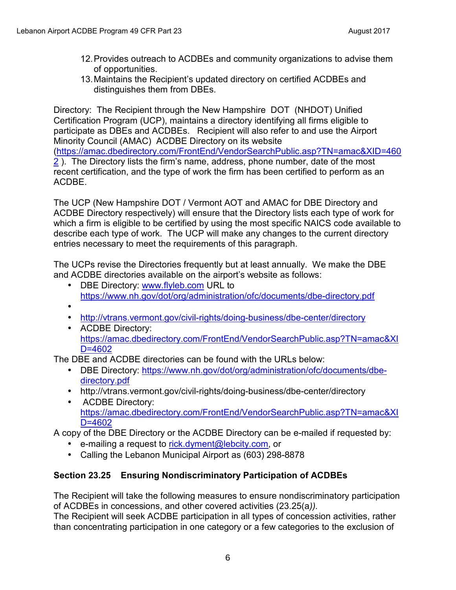- 12. Provides outreach to ACDBEs and community organizations to advise them of opportunities.
- 13. Maintains the Recipient's updated directory on certified ACDBEs and distinguishes them from DBEs.

Directory: The Recipient through the New Hampshire DOT (NHDOT) Unified Certification Program (UCP), maintains a directory identifying all firms eligible to participate as DBEs and ACDBEs. Recipient will also refer to and use the Airport Minority Council (AMAC) ACDBE Directory on its website ([https://amac.dbedirectory.com/FrontEnd/VendorSearchPublic.asp?TN=amac&XID=460](https://amac.dbedirectory.com/FrontEnd/VendorSearchPublic.asp?TN=amac&XID=4602) [2](https://amac.dbedirectory.com/FrontEnd/VendorSearchPublic.asp?TN=amac&XID=4602) ). The Directory lists the firm's name, address, phone number, date of the most recent certification, and the type of work the firm has been certified to perform as an ACDBE.

The UCP (New Hampshire DOT / Vermont AOT and AMAC for DBE Directory and ACDBE Directory respectively) will ensure that the Directory lists each type of work for which a firm is eligible to be certified by using the most specific NAICS code available to describe each type of work. The UCP will make any changes to the current directory entries necessary to meet the requirements of this paragraph.

The UCPs revise the Directories frequently but at least annually. We make the DBE and ACDBE directories available on the airport's website as follows:

- DBE Directory: [www.flyleb.com](http://www.flyleb.com/) URL to <https://www.nh.gov/dot/org/administration/ofc/documents/dbe-directory.pdf>
- •
- <http://vtrans.vermont.gov/civil-rights/doing-business/dbe-center/directory>
- ACDBE Directory: [https://amac.dbedirectory.com/FrontEnd/VendorSearchPublic.asp?TN=amac&XI](https://amac.dbedirectory.com/FrontEnd/VendorSearchPublic.asp?TN=amac&XID=4602) [D=4602](https://amac.dbedirectory.com/FrontEnd/VendorSearchPublic.asp?TN=amac&XID=4602)

The DBE and ACDBE directories can be found with the URLs below:

- DBE Directory: [https://www.nh.gov/dot/org/administration/ofc/documents/dbe](https://www.nh.gov/dot/org/administration/ofc/documents/dbe-directory.pdf)[directory.pdf](https://www.nh.gov/dot/org/administration/ofc/documents/dbe-directory.pdf)
- http://vtrans.vermont.gov/civil-rights/doing-business/dbe-center/directory
- ACDBE Directory: [https://amac.dbedirectory.com/FrontEnd/VendorSearchPublic.asp?TN=amac&XI](https://amac.dbedirectory.com/FrontEnd/VendorSearchPublic.asp?TN=amac&XID=4602) [D=4602](https://amac.dbedirectory.com/FrontEnd/VendorSearchPublic.asp?TN=amac&XID=4602)

A copy of the DBE Directory or the ACDBE Directory can be e-mailed if requested by:

- e-mailing a request to [rick.dyment@lebcity.com,](mailto:rick.dyment@lebcity.com) or
- Calling the Lebanon Municipal Airport as (603) 298-8878

## **Section 23.25 Ensuring Nondiscriminatory Participation of ACDBEs**

The Recipient will take the following measures to ensure nondiscriminatory participation of ACDBEs in concessions, and other covered activities (23.25(a*)).* 

The Recipient will seek ACDBE participation in all types of concession activities, rather than concentrating participation in one category or a few categories to the exclusion of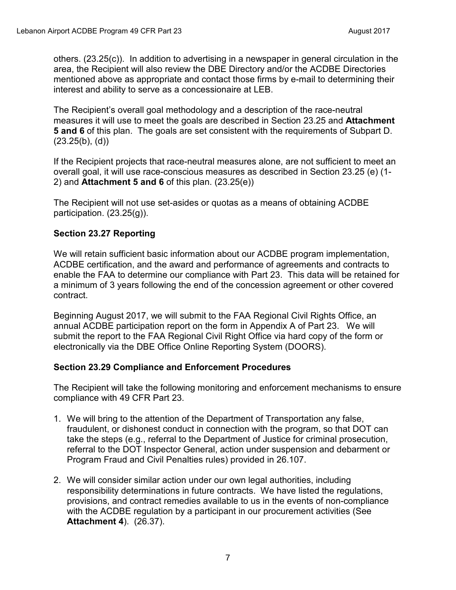others. (23.25(c)). In addition to advertising in a newspaper in general circulation in the area, the Recipient will also review the DBE Directory and/or the ACDBE Directories mentioned above as appropriate and contact those firms by e-mail to determining their interest and ability to serve as a concessionaire at LEB.

The Recipient's overall goal methodology and a description of the race-neutral measures it will use to meet the goals are described in Section 23.25 and **Attachment 5 and 6** of this plan. The goals are set consistent with the requirements of Subpart D.  $(23.25(b), (d))$ 

If the Recipient projects that race-neutral measures alone, are not sufficient to meet an overall goal, it will use race-conscious measures as described in Section 23.25 (e) (1- 2) and **Attachment 5 and 6** of this plan. (23.25(e))

The Recipient will not use set-asides or quotas as a means of obtaining ACDBE participation. (23.25(g)).

### **Section 23.27 Reporting**

We will retain sufficient basic information about our ACDBE program implementation, ACDBE certification, and the award and performance of agreements and contracts to enable the FAA to determine our compliance with Part 23. This data will be retained for a minimum of 3 years following the end of the concession agreement or other covered contract.

Beginning August 2017, we will submit to the FAA Regional Civil Rights Office, an annual ACDBE participation report on the form in Appendix A of Part 23. We will submit the report to the FAA Regional Civil Right Office via hard copy of the form or electronically via the DBE Office Online Reporting System (DOORS).

## **Section 23.29 Compliance and Enforcement Procedures**

The Recipient will take the following monitoring and enforcement mechanisms to ensure compliance with 49 CFR Part 23.

- 1. We will bring to the attention of the Department of Transportation any false, fraudulent, or dishonest conduct in connection with the program, so that DOT can take the steps (e.g., referral to the Department of Justice for criminal prosecution, referral to the DOT Inspector General, action under suspension and debarment or Program Fraud and Civil Penalties rules) provided in 26.107.
- 2. We will consider similar action under our own legal authorities, including responsibility determinations in future contracts. We have listed the regulations, provisions, and contract remedies available to us in the events of non-compliance with the ACDBE regulation by a participant in our procurement activities (See **Attachment 4**). (26.37).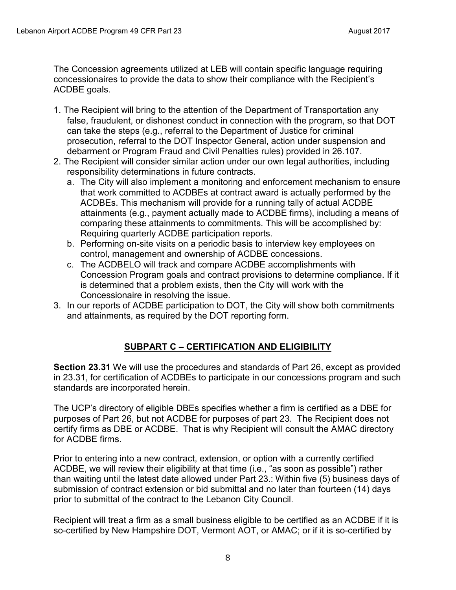The Concession agreements utilized at LEB will contain specific language requiring concessionaires to provide the data to show their compliance with the Recipient's ACDBE goals.

- 1. The Recipient will bring to the attention of the Department of Transportation any false, fraudulent, or dishonest conduct in connection with the program, so that DOT can take the steps (e.g., referral to the Department of Justice for criminal prosecution, referral to the DOT Inspector General, action under suspension and debarment or Program Fraud and Civil Penalties rules) provided in 26.107.
- 2. The Recipient will consider similar action under our own legal authorities, including responsibility determinations in future contracts.
	- a. The City will also implement a monitoring and enforcement mechanism to ensure that work committed to ACDBEs at contract award is actually performed by the ACDBEs. This mechanism will provide for a running tally of actual ACDBE attainments (e.g., payment actually made to ACDBE firms), including a means of comparing these attainments to commitments. This will be accomplished by: Requiring quarterly ACDBE participation reports.
	- b. Performing on-site visits on a periodic basis to interview key employees on control, management and ownership of ACDBE concessions.
	- c. The ACDBELO will track and compare ACDBE accomplishments with Concession Program goals and contract provisions to determine compliance. If it is determined that a problem exists, then the City will work with the Concessionaire in resolving the issue.
- 3. In our reports of ACDBE participation to DOT, the City will show both commitments and attainments, as required by the DOT reporting form.

## **SUBPART C – CERTIFICATION AND ELIGIBILITY**

**Section 23.31** We will use the procedures and standards of Part 26, except as provided in 23.31, for certification of ACDBEs to participate in our concessions program and such standards are incorporated herein.

The UCP's directory of eligible DBEs specifies whether a firm is certified as a DBE for purposes of Part 26, but not ACDBE for purposes of part 23. The Recipient does not certify firms as DBE or ACDBE. That is why Recipient will consult the AMAC directory for ACDBE firms.

Prior to entering into a new contract, extension, or option with a currently certified ACDBE, we will review their eligibility at that time (i.e., "as soon as possible") rather than waiting until the latest date allowed under Part 23.: Within five (5) business days of submission of contract extension or bid submittal and no later than fourteen (14) days prior to submittal of the contract to the Lebanon City Council.

Recipient will treat a firm as a small business eligible to be certified as an ACDBE if it is so-certified by New Hampshire DOT, Vermont AOT, or AMAC; or if it is so-certified by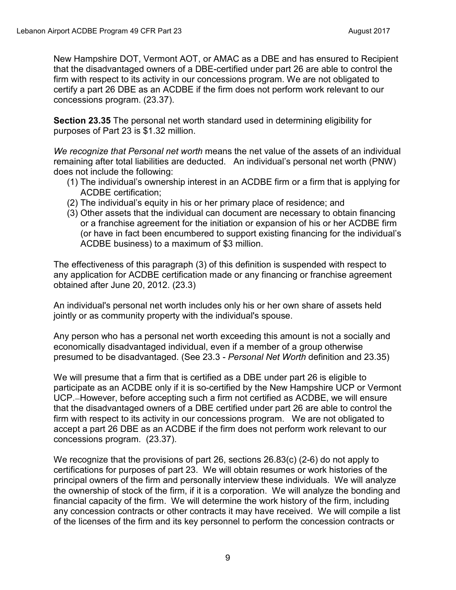New Hampshire DOT, Vermont AOT, or AMAC as a DBE and has ensured to Recipient that the disadvantaged owners of a DBE-certified under part 26 are able to control the firm with respect to its activity in our concessions program. We are not obligated to certify a part 26 DBE as an ACDBE if the firm does not perform work relevant to our concessions program. (23.37).

**Section 23.35** The personal net worth standard used in determining eligibility for purposes of Part 23 is \$1.32 million.

*We recognize that Personal net worth* means the net value of the assets of an individual remaining after total liabilities are deducted. An individual's personal net worth (PNW) does not include the following:

- (1) The individual's ownership interest in an ACDBE firm or a firm that is applying for ACDBE certification;
- (2) The individual's equity in his or her primary place of residence; and
- (3) Other assets that the individual can document are necessary to obtain financing or a franchise agreement for the initiation or expansion of his or her ACDBE firm (or have in fact been encumbered to support existing financing for the individual's ACDBE business) to a maximum of \$3 million.

The effectiveness of this paragraph (3) of this definition is suspended with respect to any application for ACDBE certification made or any financing or franchise agreement obtained after June 20, 2012. (23.3)

An individual's personal net worth includes only his or her own share of assets held jointly or as community property with the individual's spouse.

Any person who has a personal net worth exceeding this amount is not a socially and economically disadvantaged individual, even if a member of a group otherwise presumed to be disadvantaged. (See 23.3 - *Personal Net Worth* definition and 23.35)

We will presume that a firm that is certified as a DBE under part 26 is eligible to participate as an ACDBE only if it is so-certified by the New Hampshire UCP or Vermont UCP. However, before accepting such a firm not certified as ACDBE, we will ensure that the disadvantaged owners of a DBE certified under part 26 are able to control the firm with respect to its activity in our concessions program. We are not obligated to accept a part 26 DBE as an ACDBE if the firm does not perform work relevant to our concessions program. (23.37).

We recognize that the provisions of part 26, sections 26.83(c) (2-6) do not apply to certifications for purposes of part 23. We will obtain resumes or work histories of the principal owners of the firm and personally interview these individuals. We will analyze the ownership of stock of the firm, if it is a corporation. We will analyze the bonding and financial capacity of the firm. We will determine the work history of the firm, including any concession contracts or other contracts it may have received. We will compile a list of the licenses of the firm and its key personnel to perform the concession contracts or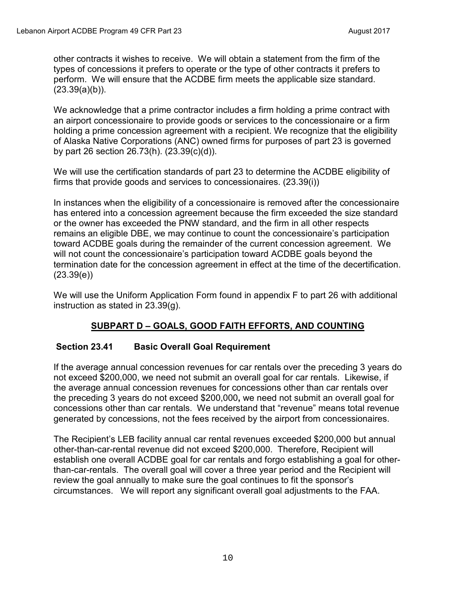other contracts it wishes to receive. We will obtain a statement from the firm of the types of concessions it prefers to operate or the type of other contracts it prefers to perform. We will ensure that the ACDBE firm meets the applicable size standard.  $(23.39(a)(b))$ .

We acknowledge that a prime contractor includes a firm holding a prime contract with an airport concessionaire to provide goods or services to the concessionaire or a firm holding a prime concession agreement with a recipient. We recognize that the eligibility of Alaska Native Corporations (ANC) owned firms for purposes of part 23 is governed by part 26 section 26.73(h). (23.39(c)(d)).

We will use the certification standards of part 23 to determine the ACDBE eligibility of firms that provide goods and services to concessionaires. (23.39(i))

In instances when the eligibility of a concessionaire is removed after the concessionaire has entered into a concession agreement because the firm exceeded the size standard or the owner has exceeded the PNW standard, and the firm in all other respects remains an eligible DBE, we may continue to count the concessionaire's participation toward ACDBE goals during the remainder of the current concession agreement. We will not count the concessionaire's participation toward ACDBE goals beyond the termination date for the concession agreement in effect at the time of the decertification.  $(23.39(e))$ 

We will use the Uniform Application Form found in appendix F to part 26 with additional instruction as stated in 23.39(g).

## **SUBPART D – GOALS, GOOD FAITH EFFORTS, AND COUNTING**

## **Section 23.41 Basic Overall Goal Requirement**

If the average annual concession revenues for car rentals over the preceding 3 years do not exceed \$200,000, we need not submit an overall goal for car rentals. Likewise, if the average annual concession revenues for concessions other than car rentals over the preceding 3 years do not exceed \$200,000**,** we need not submit an overall goal for concessions other than car rentals. We understand that "revenue" means total revenue generated by concessions, not the fees received by the airport from concessionaires.

The Recipient's LEB facility annual car rental revenues exceeded \$200,000 but annual other-than-car-rental revenue did not exceed \$200,000. Therefore, Recipient will establish one overall ACDBE goal for car rentals and forgo establishing a goal for otherthan-car-rentals. The overall goal will cover a three year period and the Recipient will review the goal annually to make sure the goal continues to fit the sponsor's circumstances. We will report any significant overall goal adjustments to the FAA.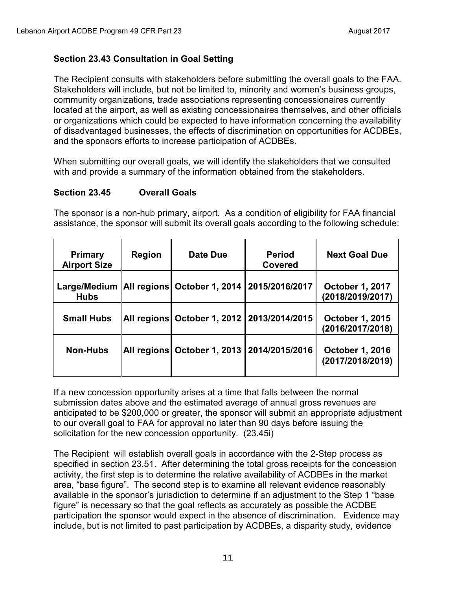## **Section 23.43 Consultation in Goal Setting**

The Recipient consults with stakeholders before submitting the overall goals to the FAA. Stakeholders will include, but not be limited to, minority and women's business groups, community organizations, trade associations representing concessionaires currently located at the airport, as well as existing concessionaires themselves, and other officials or organizations which could be expected to have information concerning the availability of disadvantaged businesses, the effects of discrimination on opportunities for ACDBEs, and the sponsors efforts to increase participation of ACDBEs.

When submitting our overall goals, we will identify the stakeholders that we consulted with and provide a summary of the information obtained from the stakeholders.

### **Section 23.45 Overall Goals**

The sponsor is a non-hub primary, airport. As a condition of eligibility for FAA financial assistance, the sponsor will submit its overall goals according to the following schedule:

| <b>Primary</b><br><b>Airport Size</b> | Region      | Date Due                    | <b>Period</b><br><b>Covered</b> | <b>Next Goal Due</b>                       |
|---------------------------------------|-------------|-----------------------------|---------------------------------|--------------------------------------------|
| Large/Medium<br><b>Hubs</b>           |             | All regions October 1, 2014 | 2015/2016/2017                  | <b>October 1, 2017</b><br>(2018/2019/2017) |
| <b>Small Hubs</b>                     |             | All regions October 1, 2012 | 2013/2014/2015                  | <b>October 1, 2015</b><br>(2016/2017/2018) |
| <b>Non-Hubs</b>                       | All regions | <b>October 1, 2013</b>      | 2014/2015/2016                  | <b>October 1, 2016</b><br>(2017/2018/2019) |

If a new concession opportunity arises at a time that falls between the normal submission dates above and the estimated average of annual gross revenues are anticipated to be \$200,000 or greater, the sponsor will submit an appropriate adjustment to our overall goal to FAA for approval no later than 90 days before issuing the solicitation for the new concession opportunity. (23.45i)

The Recipient will establish overall goals in accordance with the 2-Step process as specified in section 23.51. After determining the total gross receipts for the concession activity, the first step is to determine the relative availability of ACDBEs in the market area, "base figure". The second step is to examine all relevant evidence reasonably available in the sponsor's jurisdiction to determine if an adjustment to the Step 1 "base figure" is necessary so that the goal reflects as accurately as possible the ACDBE participation the sponsor would expect in the absence of discrimination. Evidence may include, but is not limited to past participation by ACDBEs, a disparity study, evidence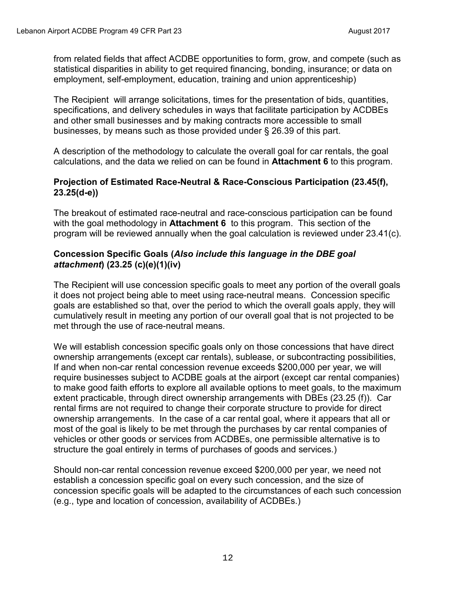from related fields that affect ACDBE opportunities to form, grow, and compete (such as statistical disparities in ability to get required financing, bonding, insurance; or data on employment, self-employment, education, training and union apprenticeship)

The Recipient will arrange solicitations, times for the presentation of bids, quantities, specifications, and delivery schedules in ways that facilitate participation by ACDBEs and other small businesses and by making contracts more accessible to small businesses, by means such as those provided under § 26.39 of this part.

A description of the methodology to calculate the overall goal for car rentals, the goal calculations, and the data we relied on can be found in **Attachment 6** to this program.

#### **Projection of Estimated Race-Neutral & Race-Conscious Participation (23.45(f), 23.25(d-e))**

The breakout of estimated race-neutral and race-conscious participation can be found with the goal methodology in **Attachment 6** to this program. This section of the program will be reviewed annually when the goal calculation is reviewed under 23.41(c).

## **Concession Specific Goals (***Also include this language in the DBE goal attachment***) (23.25 (c)(e)(1)(iv)**

The Recipient will use concession specific goals to meet any portion of the overall goals it does not project being able to meet using race-neutral means. Concession specific goals are established so that, over the period to which the overall goals apply, they will cumulatively result in meeting any portion of our overall goal that is not projected to be met through the use of race-neutral means.

We will establish concession specific goals only on those concessions that have direct ownership arrangements (except car rentals), sublease, or subcontracting possibilities, If and when non-car rental concession revenue exceeds \$200,000 per year, we will require businesses subject to ACDBE goals at the airport (except car rental companies) to make good faith efforts to explore all available options to meet goals, to the maximum extent practicable, through direct ownership arrangements with DBEs (23.25 (f)). Car rental firms are not required to change their corporate structure to provide for direct ownership arrangements. In the case of a car rental goal, where it appears that all or most of the goal is likely to be met through the purchases by car rental companies of vehicles or other goods or services from ACDBEs, one permissible alternative is to structure the goal entirely in terms of purchases of goods and services.)

Should non-car rental concession revenue exceed \$200,000 per year, we need not establish a concession specific goal on every such concession, and the size of concession specific goals will be adapted to the circumstances of each such concession (e.g., type and location of concession, availability of ACDBEs.)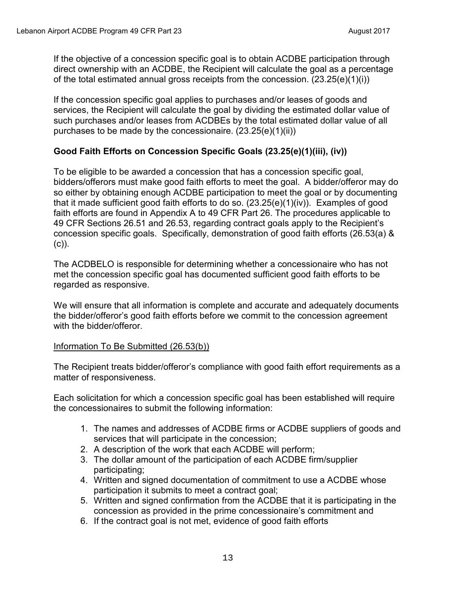If the objective of a concession specific goal is to obtain ACDBE participation through direct ownership with an ACDBE, the Recipient will calculate the goal as a percentage of the total estimated annual gross receipts from the concession. (23.25(e)(1)(i))

If the concession specific goal applies to purchases and/or leases of goods and services, the Recipient will calculate the goal by dividing the estimated dollar value of such purchases and/or leases from ACDBEs by the total estimated dollar value of all purchases to be made by the concessionaire. (23.25(e)(1)(ii))

### **Good Faith Efforts on Concession Specific Goals (23.25(e)(1)(iii), (iv))**

To be eligible to be awarded a concession that has a concession specific goal, bidders/offerors must make good faith efforts to meet the goal. A bidder/offeror may do so either by obtaining enough ACDBE participation to meet the goal or by documenting that it made sufficient good faith efforts to do so. (23.25(e)(1)(iv)). Examples of good faith efforts are found in Appendix A to 49 CFR Part 26. The procedures applicable to 49 CFR Sections 26.51 and 26.53, regarding contract goals apply to the Recipient's concession specific goals. Specifically, demonstration of good faith efforts (26.53(a) & (c)).

The ACDBELO is responsible for determining whether a concessionaire who has not met the concession specific goal has documented sufficient good faith efforts to be regarded as responsive.

We will ensure that all information is complete and accurate and adequately documents the bidder/offeror's good faith efforts before we commit to the concession agreement with the bidder/offeror.

#### Information To Be Submitted (26.53(b))

The Recipient treats bidder/offeror's compliance with good faith effort requirements as a matter of responsiveness.

Each solicitation for which a concession specific goal has been established will require the concessionaires to submit the following information:

- 1. The names and addresses of ACDBE firms or ACDBE suppliers of goods and services that will participate in the concession;
- 2. A description of the work that each ACDBE will perform;
- 3. The dollar amount of the participation of each ACDBE firm/supplier participating;
- 4. Written and signed documentation of commitment to use a ACDBE whose participation it submits to meet a contract goal;
- 5. Written and signed confirmation from the ACDBE that it is participating in the concession as provided in the prime concessionaire's commitment and
- 6. If the contract goal is not met, evidence of good faith efforts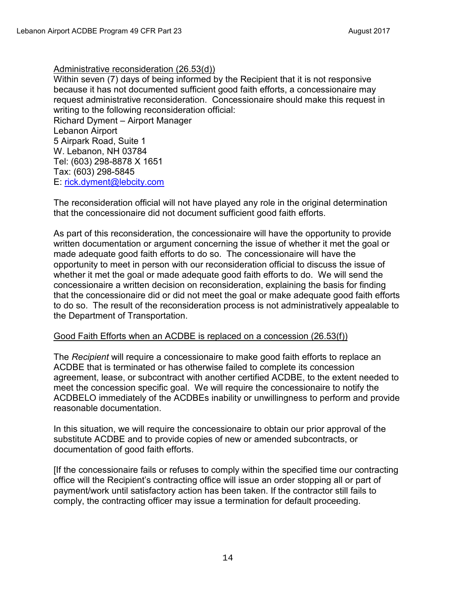#### Administrative reconsideration (26.53(d))

Within seven (7) days of being informed by the Recipient that it is not responsive because it has not documented sufficient good faith efforts, a concessionaire may request administrative reconsideration. Concessionaire should make this request in writing to the following reconsideration official:

Richard Dyment – Airport Manager Lebanon Airport 5 Airpark Road, Suite 1 W. Lebanon, NH 03784 Tel: (603) 298-8878 X 1651 Tax: (603) 298-5845 E: [rick.dyment@lebcity.com](mailto:rick.dyment@lebcity.com) 

The reconsideration official will not have played any role in the original determination that the concessionaire did not document sufficient good faith efforts.

As part of this reconsideration, the concessionaire will have the opportunity to provide written documentation or argument concerning the issue of whether it met the goal or made adequate good faith efforts to do so. The concessionaire will have the opportunity to meet in person with our reconsideration official to discuss the issue of whether it met the goal or made adequate good faith efforts to do. We will send the concessionaire a written decision on reconsideration, explaining the basis for finding that the concessionaire did or did not meet the goal or make adequate good faith efforts to do so. The result of the reconsideration process is not administratively appealable to the Department of Transportation.

#### Good Faith Efforts when an ACDBE is replaced on a concession (26.53(f))

The *Recipient* will require a concessionaire to make good faith efforts to replace an ACDBE that is terminated or has otherwise failed to complete its concession agreement, lease, or subcontract with another certified ACDBE, to the extent needed to meet the concession specific goal. We will require the concessionaire to notify the ACDBELO immediately of the ACDBEs inability or unwillingness to perform and provide reasonable documentation.

In this situation, we will require the concessionaire to obtain our prior approval of the substitute ACDBE and to provide copies of new or amended subcontracts, or documentation of good faith efforts.

[If the concessionaire fails or refuses to comply within the specified time our contracting office will the Recipient's contracting office will issue an order stopping all or part of payment/work until satisfactory action has been taken. If the contractor still fails to comply, the contracting officer may issue a termination for default proceeding.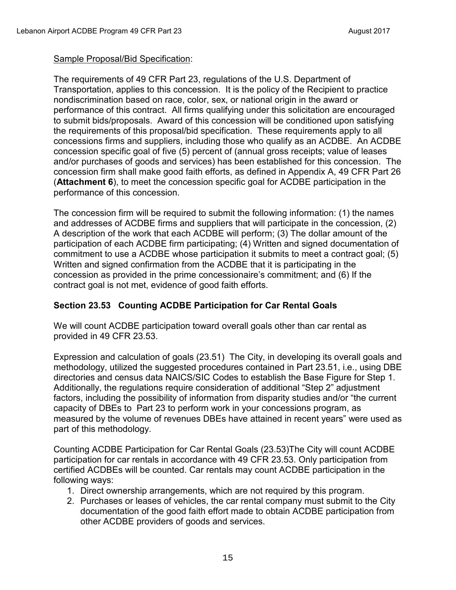#### Sample Proposal/Bid Specification:

The requirements of 49 CFR Part 23, regulations of the U.S. Department of Transportation, applies to this concession. It is the policy of the Recipient to practice nondiscrimination based on race, color, sex, or national origin in the award or performance of this contract. All firms qualifying under this solicitation are encouraged to submit bids/proposals. Award of this concession will be conditioned upon satisfying the requirements of this proposal/bid specification. These requirements apply to all concessions firms and suppliers, including those who qualify as an ACDBE. An ACDBE concession specific goal of five (5) percent of (annual gross receipts; value of leases and/or purchases of goods and services) has been established for this concession. The concession firm shall make good faith efforts, as defined in Appendix A, 49 CFR Part 26 (**Attachment 6**), to meet the concession specific goal for ACDBE participation in the performance of this concession.

The concession firm will be required to submit the following information: (1) the names and addresses of ACDBE firms and suppliers that will participate in the concession, (2) A description of the work that each ACDBE will perform; (3) The dollar amount of the participation of each ACDBE firm participating; (4) Written and signed documentation of commitment to use a ACDBE whose participation it submits to meet a contract goal; (5) Written and signed confirmation from the ACDBE that it is participating in the concession as provided in the prime concessionaire's commitment; and (6) If the contract goal is not met, evidence of good faith efforts.

## **Section 23.53 Counting ACDBE Participation for Car Rental Goals**

We will count ACDBE participation toward overall goals other than car rental as provided in 49 CFR 23.53.

Expression and calculation of goals (23.51) The City, in developing its overall goals and methodology, utilized the suggested procedures contained in Part 23.51, i.e., using DBE directories and census data NAICS/SIC Codes to establish the Base Figure for Step 1. Additionally, the regulations require consideration of additional "Step 2" adjustment factors, including the possibility of information from disparity studies and/or "the current capacity of DBEs to Part 23 to perform work in your concessions program, as measured by the volume of revenues DBEs have attained in recent years" were used as part of this methodology.

Counting ACDBE Participation for Car Rental Goals (23.53)The City will count ACDBE participation for car rentals in accordance with 49 CFR 23.53. Only participation from certified ACDBEs will be counted. Car rentals may count ACDBE participation in the following ways:

- 1. Direct ownership arrangements, which are not required by this program.
- 2. Purchases or leases of vehicles, the car rental company must submit to the City documentation of the good faith effort made to obtain ACDBE participation from other ACDBE providers of goods and services.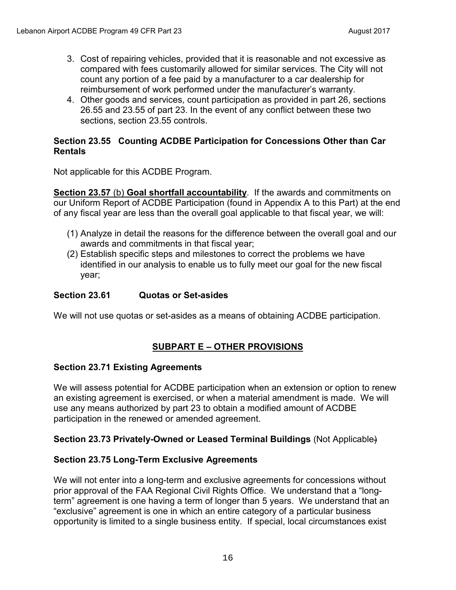- 3. Cost of repairing vehicles, provided that it is reasonable and not excessive as compared with fees customarily allowed for similar services. The City will not count any portion of a fee paid by a manufacturer to a car dealership for reimbursement of work performed under the manufacturer's warranty.
- 4. Other goods and services, count participation as provided in part 26, sections 26.55 and 23.55 of part 23. In the event of any conflict between these two sections, section 23.55 controls.

#### **Section 23.55 Counting ACDBE Participation for Concessions Other than Car Rentals**

Not applicable for this ACDBE Program.

**Section 23.57** (b) **Goal shortfall accountability**. If the awards and commitments on our Uniform Report of ACDBE Participation (found in Appendix A to this Part) at the end of any fiscal year are less than the overall goal applicable to that fiscal year, we will:

- (1) Analyze in detail the reasons for the difference between the overall goal and our awards and commitments in that fiscal year;
- (2) Establish specific steps and milestones to correct the problems we have identified in our analysis to enable us to fully meet our goal for the new fiscal year;

## **Section 23.61 Quotas or Set-asides**

We will not use quotas or set-asides as a means of obtaining ACDBE participation.

## **SUBPART E – OTHER PROVISIONS**

#### **Section 23.71 Existing Agreements**

We will assess potential for ACDBE participation when an extension or option to renew an existing agreement is exercised, or when a material amendment is made. We will use any means authorized by part 23 to obtain a modified amount of ACDBE participation in the renewed or amended agreement.

#### **Section 23.73 Privately-Owned or Leased Terminal Buildings** (Not Applicable)

#### **Section 23.75 Long-Term Exclusive Agreements**

We will not enter into a long-term and exclusive agreements for concessions without prior approval of the FAA Regional Civil Rights Office. We understand that a "longterm" agreement is one having a term of longer than 5 years. We understand that an "exclusive" agreement is one in which an entire category of a particular business opportunity is limited to a single business entity. If special, local circumstances exist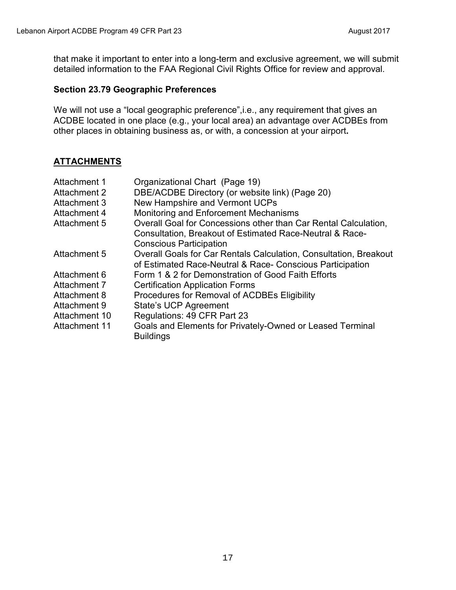that make it important to enter into a long-term and exclusive agreement, we will submit detailed information to the FAA Regional Civil Rights Office for review and approval.

#### **Section 23.79 Geographic Preferences**

We will not use a "local geographic preference", i.e., any requirement that gives an ACDBE located in one place (e.g., your local area) an advantage over ACDBEs from other places in obtaining business as, or with, a concession at your airport**.**

## **ATTACHMENTS**

| Attachment 1         | Organizational Chart (Page 19)                                    |
|----------------------|-------------------------------------------------------------------|
| <b>Attachment 2</b>  | DBE/ACDBE Directory (or website link) (Page 20)                   |
| <b>Attachment 3</b>  | New Hampshire and Vermont UCPs                                    |
| Attachment 4         | Monitoring and Enforcement Mechanisms                             |
| Attachment 5         | Overall Goal for Concessions other than Car Rental Calculation,   |
|                      | Consultation, Breakout of Estimated Race-Neutral & Race-          |
|                      | <b>Conscious Participation</b>                                    |
| Attachment 5         | Overall Goals for Car Rentals Calculation, Consultation, Breakout |
|                      | of Estimated Race-Neutral & Race- Conscious Participation         |
| Attachment 6         | Form 1 & 2 for Demonstration of Good Faith Efforts                |
| Attachment 7         | <b>Certification Application Forms</b>                            |
| Attachment 8         | Procedures for Removal of ACDBEs Eligibility                      |
| Attachment 9         | <b>State's UCP Agreement</b>                                      |
| Attachment 10        | Regulations: 49 CFR Part 23                                       |
| <b>Attachment 11</b> | Goals and Elements for Privately-Owned or Leased Terminal         |
|                      | <b>Buildings</b>                                                  |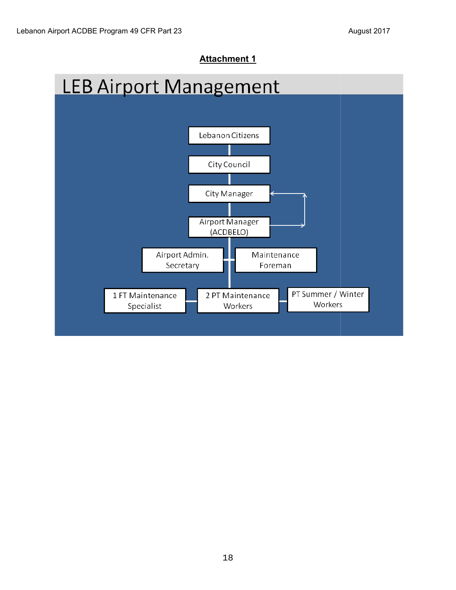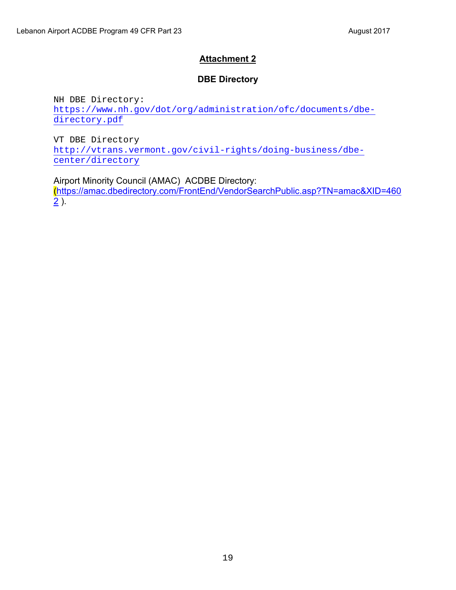## **DBE Directory**

NH DBE Directory: [https://www.nh.gov/dot/org/administration/ofc/documents/dbe](https://www.nh.gov/dot/org/administration/ofc/documents/dbe-directory.pdf)[directory.pdf](https://www.nh.gov/dot/org/administration/ofc/documents/dbe-directory.pdf) 

VT DBE Directory [http://vtrans.vermont.gov/civil-rights/doing-business/dbe](http://vtrans.vermont.gov/civil-rights/doing-business/dbe-center/directory)[center/directory](http://vtrans.vermont.gov/civil-rights/doing-business/dbe-center/directory)

Airport Minority Council (AMAC) ACDBE Directory: ([https://amac.dbedirectory.com/FrontEnd/VendorSearchPublic.asp?TN=amac&XID=460](https://amac.dbedirectory.com/FrontEnd/VendorSearchPublic.asp?TN=amac&XID=4602)  $\overline{2}$ ).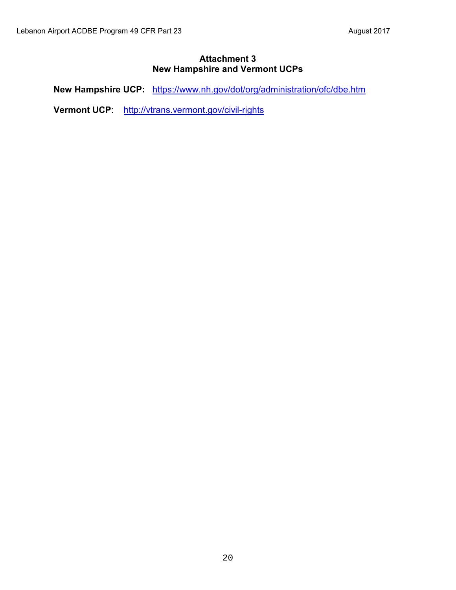#### **Attachment 3 New Hampshire and Vermont UCPs**

**New Hampshire UCP:** <https://www.nh.gov/dot/org/administration/ofc/dbe.htm>

**Vermont UCP**: <http://vtrans.vermont.gov/civil-rights>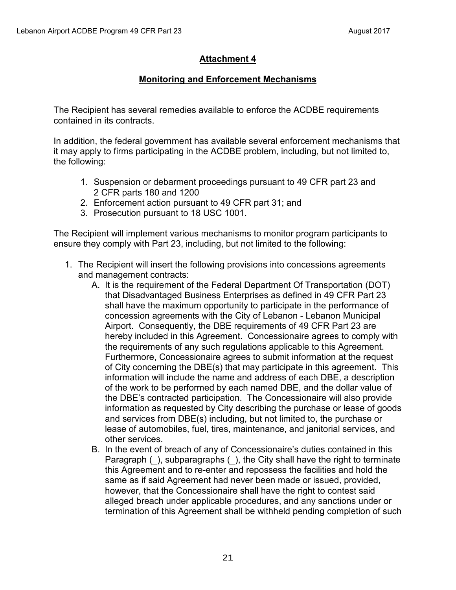## **Monitoring and Enforcement Mechanisms**

The Recipient has several remedies available to enforce the ACDBE requirements contained in its contracts.

In addition, the federal government has available several enforcement mechanisms that it may apply to firms participating in the ACDBE problem, including, but not limited to, the following:

- 1. Suspension or debarment proceedings pursuant to 49 CFR part 23 and 2 CFR parts 180 and 1200
- 2. Enforcement action pursuant to 49 CFR part 31; and
- 3. Prosecution pursuant to 18 USC 1001.

The Recipient will implement various mechanisms to monitor program participants to ensure they comply with Part 23, including, but not limited to the following:

- 1. The Recipient will insert the following provisions into concessions agreements and management contracts:
	- A. It is the requirement of the Federal Department Of Transportation (DOT) that Disadvantaged Business Enterprises as defined in 49 CFR Part 23 shall have the maximum opportunity to participate in the performance of concession agreements with the City of Lebanon - Lebanon Municipal Airport. Consequently, the DBE requirements of 49 CFR Part 23 are hereby included in this Agreement. Concessionaire agrees to comply with the requirements of any such regulations applicable to this Agreement. Furthermore, Concessionaire agrees to submit information at the request of City concerning the DBE(s) that may participate in this agreement. This information will include the name and address of each DBE, a description of the work to be performed by each named DBE, and the dollar value of the DBE's contracted participation. The Concessionaire will also provide information as requested by City describing the purchase or lease of goods and services from DBE(s) including, but not limited to, the purchase or lease of automobiles, fuel, tires, maintenance, and janitorial services, and other services.
	- B. In the event of breach of any of Concessionaire's duties contained in this Paragraph (), subparagraphs (), the City shall have the right to terminate this Agreement and to re-enter and repossess the facilities and hold the same as if said Agreement had never been made or issued, provided, however, that the Concessionaire shall have the right to contest said alleged breach under applicable procedures, and any sanctions under or termination of this Agreement shall be withheld pending completion of such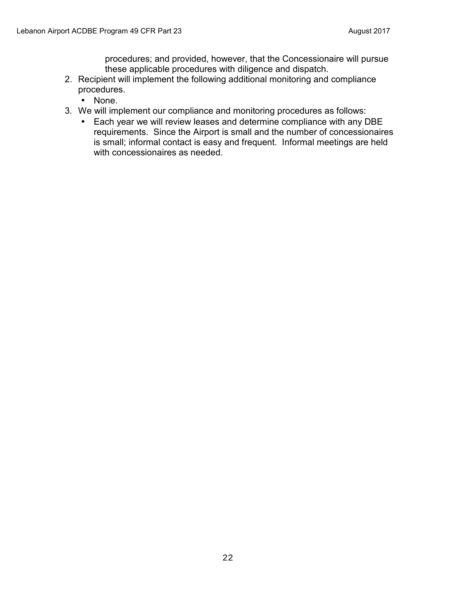procedures; and provided, however, that the Concessionaire will pursue these applicable procedures with diligence and dispatch.

- 2. Recipient will implement the following additional monitoring and compliance procedures.
	- None.
- 3. We will implement our compliance and monitoring procedures as follows:
	- Each year we will review leases and determine compliance with any DBE requirements. Since the Airport is small and the number of concessionaires is small; informal contact is easy and frequent. Informal meetings are held with concessionaires as needed.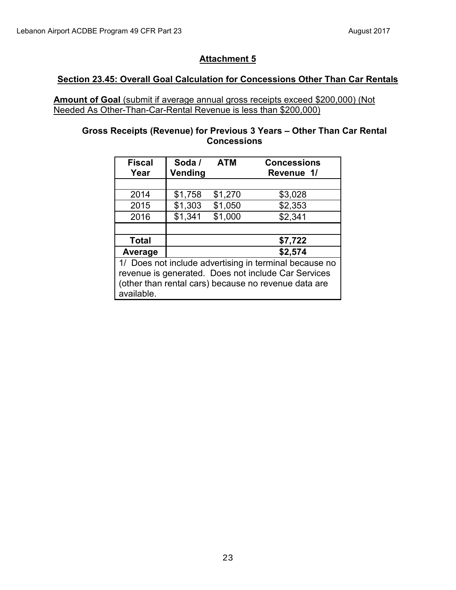### **Section 23.45: Overall Goal Calculation for Concessions Other Than Car Rentals**

**Amount of Goal** (submit if average annual gross receipts exceed \$200,000) (Not Needed As Other-Than-Car-Rental Revenue is less than \$200,000)

#### **Gross Receipts (Revenue) for Previous 3 Years – Other Than Car Rental Concessions**

| <b>Fiscal</b><br>Year                                  | Soda /<br>Vending | <b>ATM</b> | <b>Concessions</b><br>Revenue 1/ |
|--------------------------------------------------------|-------------------|------------|----------------------------------|
|                                                        |                   |            |                                  |
| 2014                                                   | \$1,758           | \$1,270    | \$3,028                          |
| 2015                                                   | \$1,303           | \$1,050    | \$2,353                          |
| 2016                                                   | \$1,341           | \$1,000    | \$2,341                          |
|                                                        |                   |            |                                  |
| <b>Total</b>                                           |                   |            | \$7,722                          |
| Average                                                |                   |            | \$2,574                          |
| 1/ Does not include advertising in terminal because no |                   |            |                                  |
| revenue is generated. Does not include Car Services    |                   |            |                                  |
| (other than rental cars) because no revenue data are   |                   |            |                                  |
| available.                                             |                   |            |                                  |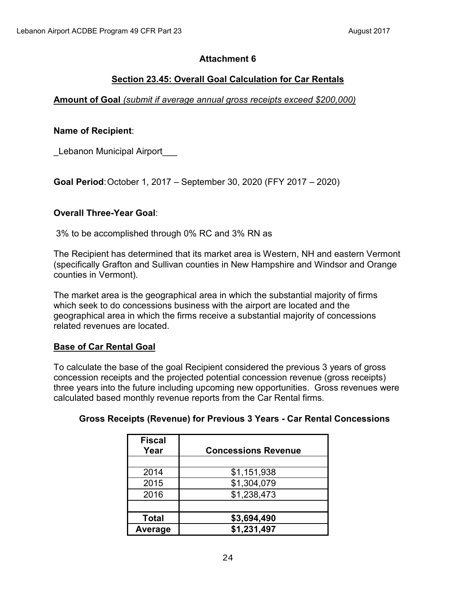## **Section 23.45: Overall Goal Calculation for Car Rentals**

## **Amount of Goal** *(submit if average annual gross receipts exceed \$200,000)*

### **Name of Recipient**:

Lebanon Municipal Airport

**Goal Period**: October 1, 2017 – September 30, 2020 (FFY 2017 – 2020)

### **Overall Three-Year Goal**:

3% to be accomplished through 0% RC and 3% RN as

The Recipient has determined that its market area is Western, NH and eastern Vermont (specifically Grafton and Sullivan counties in New Hampshire and Windsor and Orange counties in Vermont).

The market area is the geographical area in which the substantial majority of firms which seek to do concessions business with the airport are located and the geographical area in which the firms receive a substantial majority of concessions related revenues are located.

## **Base of Car Rental Goal**

To calculate the base of the goal Recipient considered the previous 3 years of gross concession receipts and the projected potential concession revenue (gross receipts) three years into the future including upcoming new opportunities. Gross revenues were calculated based monthly revenue reports from the Car Rental firms.

#### **Gross Receipts (Revenue) for Previous 3 Years - Car Rental Concessions**

| <b>Fiscal</b><br>Year | <b>Concessions Revenue</b> |
|-----------------------|----------------------------|
|                       |                            |
| 2014                  | \$1,151,938                |
| 2015                  | \$1,304,079                |
| 2016                  | \$1,238,473                |
|                       |                            |
| <b>Total</b>          | \$3,694,490                |
| Average               | \$1,231,497                |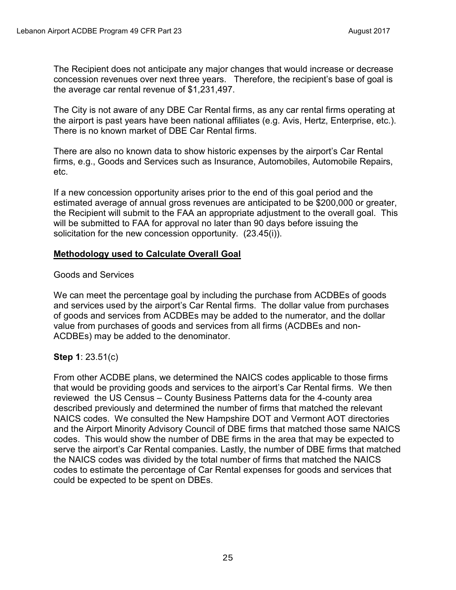The Recipient does not anticipate any major changes that would increase or decrease concession revenues over next three years. Therefore, the recipient's base of goal is the average car rental revenue of \$1,231,497.

The City is not aware of any DBE Car Rental firms, as any car rental firms operating at the airport is past years have been national affiliates (e.g. Avis, Hertz, Enterprise, etc.). There is no known market of DBE Car Rental firms.

There are also no known data to show historic expenses by the airport's Car Rental firms, e.g., Goods and Services such as Insurance, Automobiles, Automobile Repairs, etc.

If a new concession opportunity arises prior to the end of this goal period and the estimated average of annual gross revenues are anticipated to be \$200,000 or greater, the Recipient will submit to the FAA an appropriate adjustment to the overall goal. This will be submitted to FAA for approval no later than 90 days before issuing the solicitation for the new concession opportunity. (23.45(i)).

### **Methodology used to Calculate Overall Goal**

#### Goods and Services

We can meet the percentage goal by including the purchase from ACDBEs of goods and services used by the airport's Car Rental firms. The dollar value from purchases of goods and services from ACDBEs may be added to the numerator, and the dollar value from purchases of goods and services from all firms (ACDBEs and non-ACDBEs) may be added to the denominator.

## **Step 1**: 23.51(c)

From other ACDBE plans, we determined the NAICS codes applicable to those firms that would be providing goods and services to the airport's Car Rental firms. We then reviewed the US Census – County Business Patterns data for the 4-county area described previously and determined the number of firms that matched the relevant NAICS codes. We consulted the New Hampshire DOT and Vermont AOT directories and the Airport Minority Advisory Council of DBE firms that matched those same NAICS codes. This would show the number of DBE firms in the area that may be expected to serve the airport's Car Rental companies. Lastly, the number of DBE firms that matched the NAICS codes was divided by the total number of firms that matched the NAICS codes to estimate the percentage of Car Rental expenses for goods and services that could be expected to be spent on DBEs.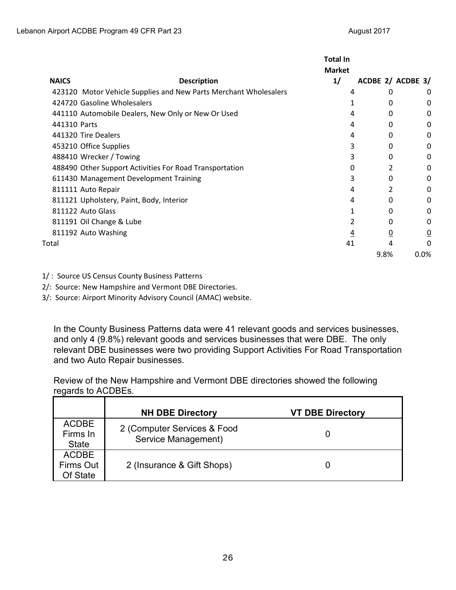|              |                                                                  | <b>Total In</b><br><b>Market</b> |                 |                   |
|--------------|------------------------------------------------------------------|----------------------------------|-----------------|-------------------|
| <b>NAICS</b> | <b>Description</b>                                               | 1/                               |                 | ACDBE 2/ ACDBE 3/ |
|              | 423120 Motor Vehicle Supplies and New Parts Merchant Wholesalers | 4                                | 0               | 0                 |
|              | 424720 Gasoline Wholesalers                                      |                                  | 0               | 0                 |
|              | 441110 Automobile Dealers, New Only or New Or Used               | 4                                | 0               | 0                 |
| 441310 Parts |                                                                  | 4                                | 0               | 0                 |
|              | 441320 Tire Dealers                                              | 4                                | 0               | 0                 |
|              | 453210 Office Supplies                                           | 3                                | 0               | 0                 |
|              | 488410 Wrecker / Towing                                          | 3                                | 0               | 0                 |
|              | 488490 Other Support Activities For Road Transportation          | 0                                |                 | 0                 |
|              | 611430 Management Development Training                           | 3                                | 0               | 0                 |
|              | 811111 Auto Repair                                               | 4                                |                 | 0                 |
|              | 811121 Upholstery, Paint, Body, Interior                         | 4                                | 0               | 0                 |
|              | 811122 Auto Glass                                                |                                  | 0               | 0                 |
|              | 811191 Oil Change & Lube                                         | 2                                | 0               | 0                 |
|              | 811192 Auto Washing                                              | $\overline{4}$                   | $\underline{0}$ | $\overline{0}$    |
| Total        |                                                                  | 41                               | 4               | $\Omega$          |
|              |                                                                  |                                  | 9.8%            | 0.0%              |

1/ : Source US Census County Business Patterns

2/: Source: New Hampshire and Vermont DBE Directories.

3/: Source: Airport Minority Advisory Council (AMAC) website.

In the County Business Patterns data were 41 relevant goods and services businesses, and only 4 (9.8%) relevant goods and services businesses that were DBE. The only relevant DBE businesses were two providing Support Activities For Road Transportation and two Auto Repair businesses.

Review of the New Hampshire and Vermont DBE directories showed the following regards to ACDBEs.

|                                          | <b>NH DBE Directory</b>                            | <b>VT DBE Directory</b> |
|------------------------------------------|----------------------------------------------------|-------------------------|
| <b>ACDBE</b><br>Firms In<br><b>State</b> | 2 (Computer Services & Food<br>Service Management) |                         |
| <b>ACDBE</b><br>Firms Out<br>Of State    | 2 (Insurance & Gift Shops)                         |                         |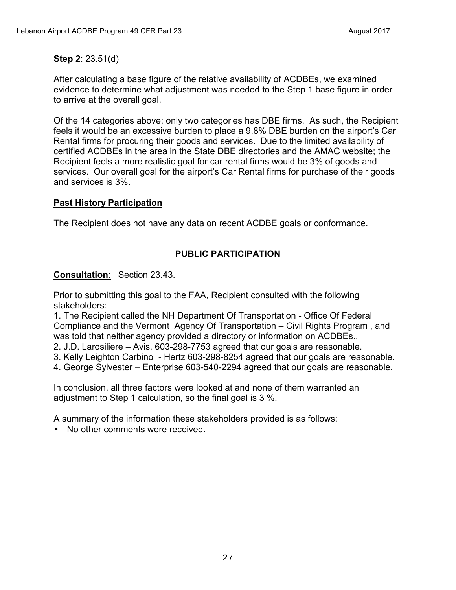#### **Step 2**: 23.51(d)

After calculating a base figure of the relative availability of ACDBEs, we examined evidence to determine what adjustment was needed to the Step 1 base figure in order to arrive at the overall goal.

Of the 14 categories above; only two categories has DBE firms. As such, the Recipient feels it would be an excessive burden to place a 9.8% DBE burden on the airport's Car Rental firms for procuring their goods and services. Due to the limited availability of certified ACDBEs in the area in the State DBE directories and the AMAC website; the Recipient feels a more realistic goal for car rental firms would be 3% of goods and services. Our overall goal for the airport's Car Rental firms for purchase of their goods and services is 3%.

### **Past History Participation**

The Recipient does not have any data on recent ACDBE goals or conformance.

## **PUBLIC PARTICIPATION**

### **Consultation**: Section 23.43.

Prior to submitting this goal to the FAA, Recipient consulted with the following stakeholders:

1. The Recipient called the NH Department Of Transportation - Office Of Federal Compliance and the Vermont Agency Of Transportation – Civil Rights Program , and was told that neither agency provided a directory or information on ACDBEs..

2. J.D. Larosiliere – Avis, 603-298-7753 agreed that our goals are reasonable.

- 3. Kelly Leighton Carbino Hertz 603-298-8254 agreed that our goals are reasonable.
- 4. George Sylvester Enterprise 603-540-2294 agreed that our goals are reasonable.

In conclusion, all three factors were looked at and none of them warranted an adjustment to Step 1 calculation, so the final goal is 3 %.

A summary of the information these stakeholders provided is as follows:

• No other comments were received.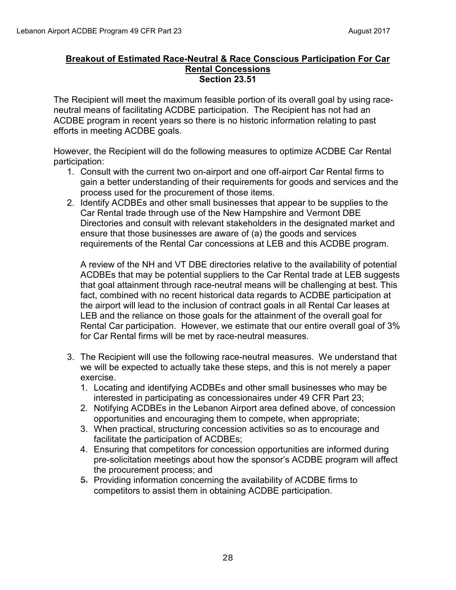#### **Breakout of Estimated Race-Neutral & Race Conscious Participation For Car Rental Concessions Section 23.51**

The Recipient will meet the maximum feasible portion of its overall goal by using raceneutral means of facilitating ACDBE participation. The Recipient has not had an ACDBE program in recent years so there is no historic information relating to past efforts in meeting ACDBE goals.

However, the Recipient will do the following measures to optimize ACDBE Car Rental participation:

- 1. Consult with the current two on-airport and one off-airport Car Rental firms to gain a better understanding of their requirements for goods and services and the process used for the procurement of those items.
- 2. Identify ACDBEs and other small businesses that appear to be supplies to the Car Rental trade through use of the New Hampshire and Vermont DBE Directories and consult with relevant stakeholders in the designated market and ensure that those businesses are aware of (a) the goods and services requirements of the Rental Car concessions at LEB and this ACDBE program.

A review of the NH and VT DBE directories relative to the availability of potential ACDBEs that may be potential suppliers to the Car Rental trade at LEB suggests that goal attainment through race-neutral means will be challenging at best. This fact, combined with no recent historical data regards to ACDBE participation at the airport will lead to the inclusion of contract goals in all Rental Car leases at LEB and the reliance on those goals for the attainment of the overall goal for Rental Car participation. However, we estimate that our entire overall goal of 3% for Car Rental firms will be met by race-neutral measures.

- 3. The Recipient will use the following race-neutral measures. We understand that we will be expected to actually take these steps, and this is not merely a paper exercise.
	- 1. Locating and identifying ACDBEs and other small businesses who may be interested in participating as concessionaires under 49 CFR Part 23;
	- 2. Notifying ACDBEs in the Lebanon Airport area defined above, of concession opportunities and encouraging them to compete, when appropriate;
	- 3. When practical, structuring concession activities so as to encourage and facilitate the participation of ACDBEs;
	- 4. Ensuring that competitors for concession opportunities are informed during pre-solicitation meetings about how the sponsor's ACDBE program will affect the procurement process; and
	- 5. Providing information concerning the availability of ACDBE firms to competitors to assist them in obtaining ACDBE participation.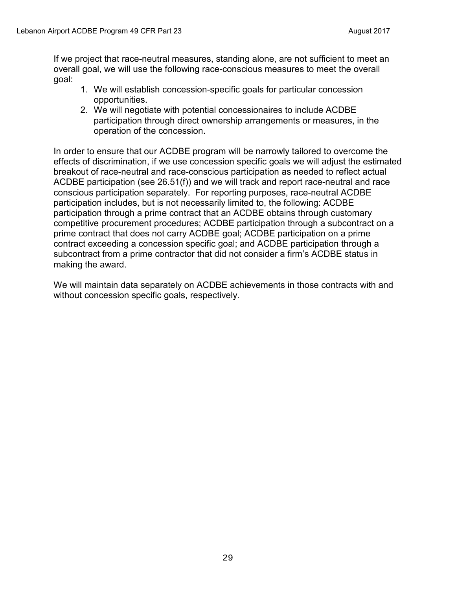If we project that race-neutral measures, standing alone, are not sufficient to meet an overall goal, we will use the following race-conscious measures to meet the overall goal:

- 1. We will establish concession-specific goals for particular concession opportunities.
- 2. We will negotiate with potential concessionaires to include ACDBE participation through direct ownership arrangements or measures, in the operation of the concession.

In order to ensure that our ACDBE program will be narrowly tailored to overcome the effects of discrimination, if we use concession specific goals we will adjust the estimated breakout of race-neutral and race-conscious participation as needed to reflect actual ACDBE participation (see 26.51(f)) and we will track and report race-neutral and race conscious participation separately. For reporting purposes, race-neutral ACDBE participation includes, but is not necessarily limited to, the following: ACDBE participation through a prime contract that an ACDBE obtains through customary competitive procurement procedures; ACDBE participation through a subcontract on a prime contract that does not carry ACDBE goal; ACDBE participation on a prime contract exceeding a concession specific goal; and ACDBE participation through a subcontract from a prime contractor that did not consider a firm's ACDBE status in making the award.

We will maintain data separately on ACDBE achievements in those contracts with and without concession specific goals, respectively.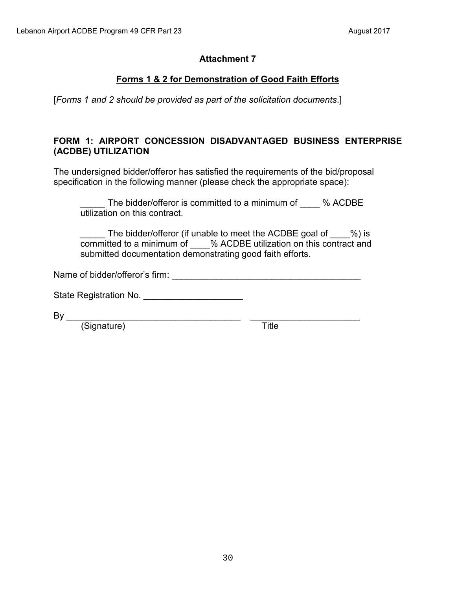## **Forms 1 & 2 for Demonstration of Good Faith Efforts**

[*Forms 1 and 2 should be provided as part of the solicitation documents*.]

## **FORM 1: AIRPORT CONCESSION DISADVANTAGED BUSINESS ENTERPRISE (ACDBE) UTILIZATION**

The undersigned bidder/offeror has satisfied the requirements of the bid/proposal specification in the following manner (please check the appropriate space):

The bidder/offeror is committed to a minimum of % ACDBE utilization on this contract.

The bidder/offeror (if unable to meet the ACDBE goal of  $\%$ ) is committed to a minimum of \_\_\_\_% ACDBE utilization on this contract and submitted documentation demonstrating good faith efforts.

Name of bidder/offeror's firm: \_\_\_\_\_\_\_\_\_\_\_\_\_\_\_\_\_\_\_\_\_\_\_\_\_\_\_\_\_\_\_\_\_\_\_\_\_\_

State Registration No.

By \_\_\_\_\_\_\_\_\_\_\_\_\_\_\_\_\_\_\_\_\_\_\_\_\_\_\_\_\_\_\_\_\_\_\_ \_\_\_\_\_\_\_\_\_\_\_\_\_\_\_\_\_\_\_\_\_\_

(Signature) Title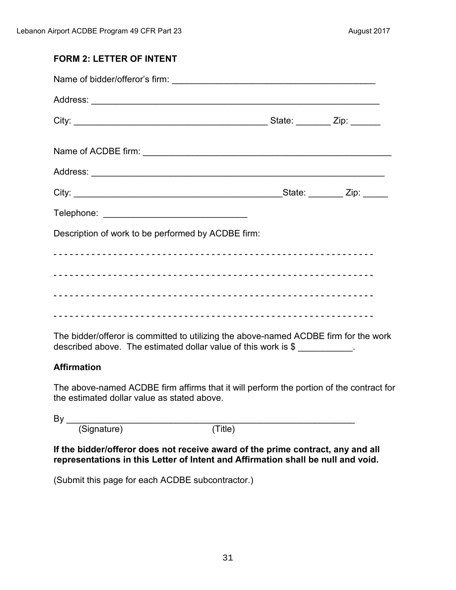# **FORM 2: LETTER OF INTENT**  Name of bidder/offeror's firm: \_\_\_\_\_\_\_\_\_\_\_\_\_\_\_\_\_\_\_\_\_\_\_\_\_\_\_\_\_\_\_\_\_\_\_\_\_\_\_\_\_ Address: \_\_\_\_\_\_\_\_\_\_\_\_\_\_\_\_\_\_\_\_\_\_\_\_\_\_\_\_\_\_\_\_\_\_\_\_\_\_\_\_\_\_\_\_\_\_\_\_\_\_\_\_\_\_\_\_\_\_ City: \_\_\_\_\_\_\_\_\_\_\_\_\_\_\_\_\_\_\_\_\_\_\_\_\_\_\_\_\_\_\_\_\_\_\_\_\_\_\_ State: \_\_\_\_\_\_\_ Zip: \_\_\_\_\_\_ Name of ACDBE firm: \_\_\_\_\_\_\_\_\_\_\_\_\_\_\_\_\_\_\_\_\_\_\_\_\_\_\_\_\_\_\_\_\_\_\_\_\_\_\_\_\_\_\_\_\_\_\_\_\_\_ Address: \_\_\_\_\_\_\_\_\_\_\_\_\_\_\_\_\_\_\_\_\_\_\_\_\_\_\_\_\_\_\_\_\_\_\_\_\_\_\_\_\_\_\_\_\_\_\_\_\_\_\_\_\_\_\_\_\_\_\_ City: \_\_\_\_\_\_\_\_\_\_\_\_\_\_\_\_\_\_\_\_\_\_\_\_\_\_\_\_\_\_\_\_\_\_\_\_\_\_\_\_\_\_State: \_\_\_\_\_\_\_ Zip: \_\_\_\_\_ Telephone: \_\_\_\_\_\_\_\_\_\_\_\_\_\_\_\_\_\_\_\_\_\_\_\_\_\_\_\_\_ Description of work to be performed by ACDBE firm: - - - - - - - - - - - - - - - - - - - - - - - - - - - - - - - - - - - - - - - - - - - - - - - - - - - - - - - - - - - - - - - - - - - - - - - - - - - - - - - - - - - - - - - - - - - - - - - - - - - - - - - - - - - - - - - - - - - - - - - - - - - - - - - - - - - - - - - - - - - - - - - - - - - - - - - - - - - - - - - - - - - - - - - - - - - - - - - - - - - - - - - - - - - - - - - - - - - - - - - - - - - - - - - - - - - - - - - - - - - - - - - - - - - - - - - - - - - - The bidder/offeror is committed to utilizing the above-named ACDBE firm for the work

described above. The estimated dollar value of this work is \$

## **Affirmation**

The above-named ACDBE firm affirms that it will perform the portion of the contract for the estimated dollar value as stated above.

By \_\_\_\_\_\_\_\_\_\_\_\_\_\_\_\_\_\_\_\_\_\_\_\_\_\_\_\_\_\_\_\_\_\_\_\_\_\_\_\_\_\_\_\_\_\_\_\_\_\_\_\_\_\_\_\_\_\_

(Signature) (Title)

**If the bidder/offeror does not receive award of the prime contract, any and all representations in this Letter of Intent and Affirmation shall be null and void.** 

(Submit this page for each ACDBE subcontractor.)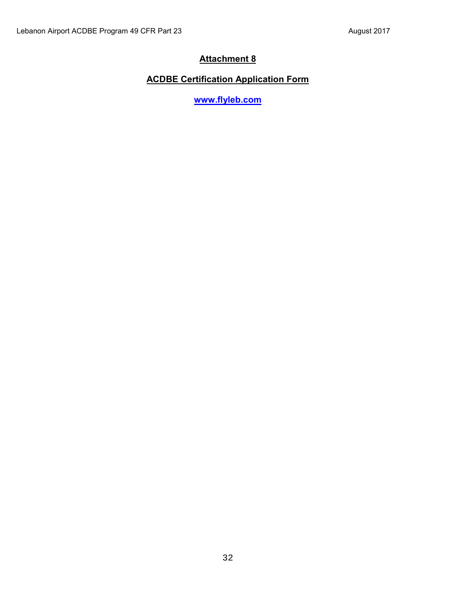## **ACDBE Certification Application Form**

**[www.flyleb.com](http://www.flyleb.com/)**